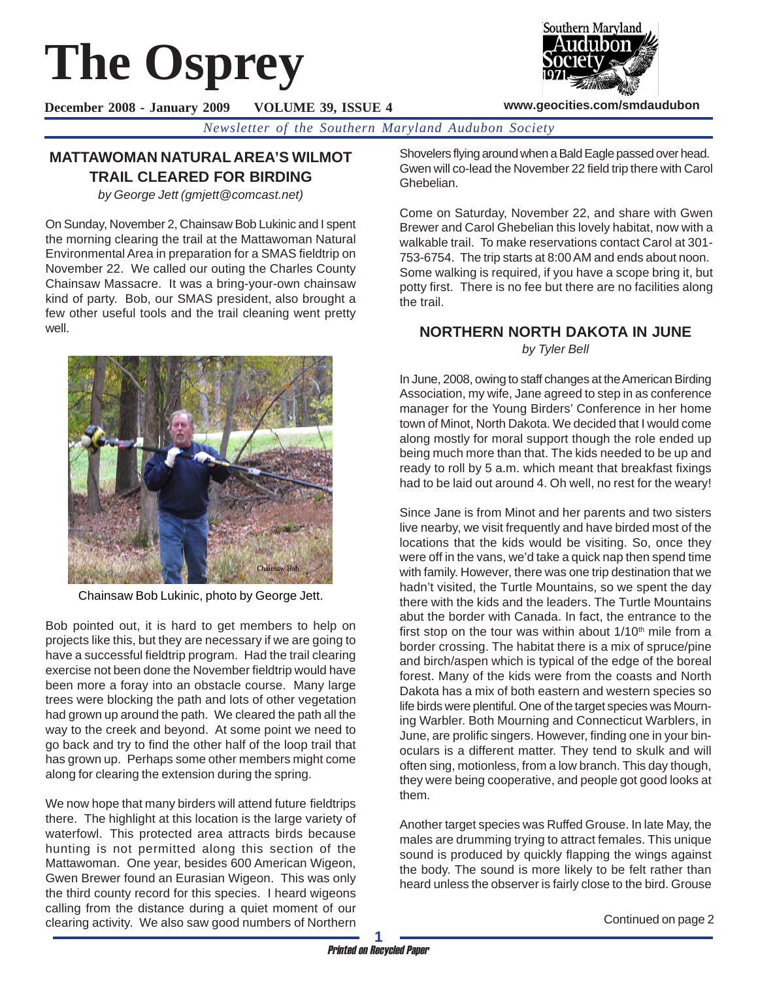# **The Osprey**

**December 2008 - January 2009 VOLUME 39, ISSUE 4**

*Newsletter of the Southern Maryland Audubon Society*

# **MATTAWOMAN NATURAL AREA'S WILMOT TRAIL CLEARED FOR BIRDING**

*by George Jett (gmjett@comcast.net)*

On Sunday, November 2, Chainsaw Bob Lukinic and I spent the morning clearing the trail at the Mattawoman Natural Environmental Area in preparation for a SMAS fieldtrip on November 22. We called our outing the Charles County Chainsaw Massacre. It was a bring-your-own chainsaw kind of party. Bob, our SMAS president, also brought a few other useful tools and the trail cleaning went pretty well.



Chainsaw Bob Lukinic, photo by George Jett.

Bob pointed out, it is hard to get members to help on projects like this, but they are necessary if we are going to have a successful fieldtrip program. Had the trail clearing exercise not been done the November fieldtrip would have been more a foray into an obstacle course. Many large trees were blocking the path and lots of other vegetation had grown up around the path. We cleared the path all the way to the creek and beyond. At some point we need to go back and try to find the other half of the loop trail that has grown up. Perhaps some other members might come along for clearing the extension during the spring.

We now hope that many birders will attend future fieldtrips there. The highlight at this location is the large variety of waterfowl. This protected area attracts birds because hunting is not permitted along this section of the Mattawoman. One year, besides 600 American Wigeon, Gwen Brewer found an Eurasian Wigeon. This was only the third county record for this species. I heard wigeons calling from the distance during a quiet moment of our clearing activity. We also saw good numbers of Northern

Southern Maryland

**www.geocities.com/smdaudubon**

Shovelers flying around when a Bald Eagle passed over head. Gwen will co-lead the November 22 field trip there with Carol Ghebelian.

Come on Saturday, November 22, and share with Gwen Brewer and Carol Ghebelian this lovely habitat, now with a walkable trail. To make reservations contact Carol at 301- 753-6754. The trip starts at 8:00 AM and ends about noon. Some walking is required, if you have a scope bring it, but potty first. There is no fee but there are no facilities along the trail.

## **NORTHERN NORTH DAKOTA IN JUNE** *by Tyler Bell*

In June, 2008, owing to staff changes at the American Birding Association, my wife, Jane agreed to step in as conference manager for the Young Birders' Conference in her home town of Minot, North Dakota. We decided that I would come along mostly for moral support though the role ended up being much more than that. The kids needed to be up and ready to roll by 5 a.m. which meant that breakfast fixings had to be laid out around 4. Oh well, no rest for the weary!

Since Jane is from Minot and her parents and two sisters live nearby, we visit frequently and have birded most of the locations that the kids would be visiting. So, once they were off in the vans, we'd take a quick nap then spend time with family. However, there was one trip destination that we hadn't visited, the Turtle Mountains, so we spent the day there with the kids and the leaders. The Turtle Mountains abut the border with Canada. In fact, the entrance to the first stop on the tour was within about  $1/10<sup>th</sup>$  mile from a border crossing. The habitat there is a mix of spruce/pine and birch/aspen which is typical of the edge of the boreal forest. Many of the kids were from the coasts and North Dakota has a mix of both eastern and western species so life birds were plentiful. One of the target species was Mourning Warbler. Both Mourning and Connecticut Warblers, in June, are prolific singers. However, finding one in your binoculars is a different matter. They tend to skulk and will often sing, motionless, from a low branch. This day though, they were being cooperative, and people got good looks at them.

Another target species was Ruffed Grouse. In late May, the males are drumming trying to attract females. This unique sound is produced by quickly flapping the wings against the body. The sound is more likely to be felt rather than heard unless the observer is fairly close to the bird. Grouse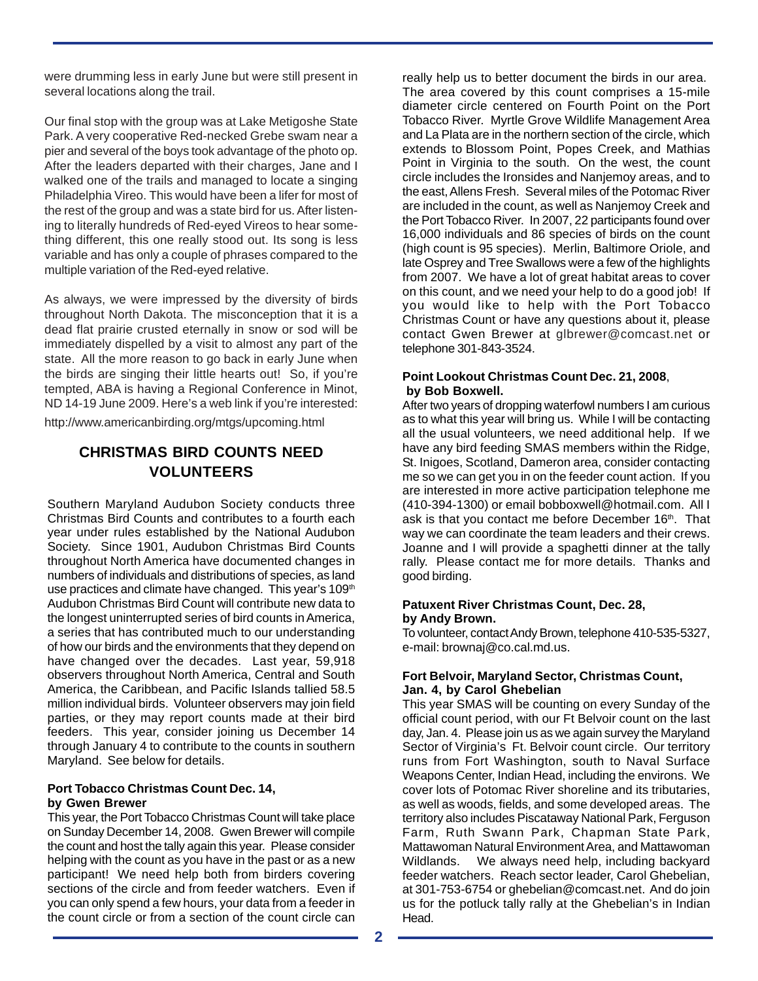were drumming less in early June but were still present in several locations along the trail.

Our final stop with the group was at Lake Metigoshe State Park. A very cooperative Red-necked Grebe swam near a pier and several of the boys took advantage of the photo op. After the leaders departed with their charges, Jane and I walked one of the trails and managed to locate a singing Philadelphia Vireo. This would have been a lifer for most of the rest of the group and was a state bird for us. After listening to literally hundreds of Red-eyed Vireos to hear something different, this one really stood out. Its song is less variable and has only a couple of phrases compared to the multiple variation of the Red-eyed relative.

As always, we were impressed by the diversity of birds throughout North Dakota. The misconception that it is a dead flat prairie crusted eternally in snow or sod will be immediately dispelled by a visit to almost any part of the state. All the more reason to go back in early June when the birds are singing their little hearts out! So, if you're tempted, ABA is having a Regional Conference in Minot, ND 14-19 June 2009. Here's a web link if you're interested:

http://www.americanbirding.org/mtgs/upcoming.html

# **CHRISTMAS BIRD COUNTS NEED VOLUNTEERS**

Southern Maryland Audubon Society conducts three Christmas Bird Counts and contributes to a fourth each year under rules established by the National Audubon Society. Since 1901, Audubon Christmas Bird Counts throughout North America have documented changes in numbers of individuals and distributions of species, as land use practices and climate have changed. This year's 109<sup>th</sup> Audubon Christmas Bird Count will contribute new data to the longest uninterrupted series of bird counts in America, a series that has contributed much to our understanding of how our birds and the environments that they depend on have changed over the decades. Last year, 59,918 observers throughout North America, Central and South America, the Caribbean, and Pacific Islands tallied 58.5 million individual birds. Volunteer observers may join field parties, or they may report counts made at their bird feeders. This year, consider joining us December 14 through January 4 to contribute to the counts in southern Maryland. See below for details.

#### **Port Tobacco Christmas Count Dec. 14, by Gwen Brewer**

This year, the Port Tobacco Christmas Count will take place on Sunday December 14, 2008. Gwen Brewer will compile the count and host the tally again this year. Please consider helping with the count as you have in the past or as a new participant! We need help both from birders covering sections of the circle and from feeder watchers. Even if you can only spend a few hours, your data from a feeder in the count circle or from a section of the count circle can

really help us to better document the birds in our area. The area covered by this count comprises a 15-mile diameter circle centered on Fourth Point on the Port Tobacco River. Myrtle Grove Wildlife Management Area and La Plata are in the northern section of the circle, which extends to Blossom Point, Popes Creek, and Mathias Point in Virginia to the south. On the west, the count circle includes the Ironsides and Nanjemoy areas, and to the east, Allens Fresh. Several miles of the Potomac River are included in the count, as well as Nanjemoy Creek and the Port Tobacco River. In 2007, 22 participants found over 16,000 individuals and 86 species of birds on the count (high count is 95 species). Merlin, Baltimore Oriole, and late Osprey and Tree Swallows were a few of the highlights from 2007. We have a lot of great habitat areas to cover on this count, and we need your help to do a good job! If you would like to help with the Port Tobacco Christmas Count or have any questions about it, please contact Gwen Brewer at glbrewer@comcast.net or telephone 301-843-3524.

## **Point Lookout Christmas Count Dec. 21, 2008**, **by Bob Boxwell.**

After two years of dropping waterfowl numbers I am curious as to what this year will bring us. While I will be contacting all the usual volunteers, we need additional help. If we have any bird feeding SMAS members within the Ridge, St. Inigoes, Scotland, Dameron area, consider contacting me so we can get you in on the feeder count action. If you are interested in more active participation telephone me (410-394-1300) or email bobboxwell@hotmail.com. All I ask is that you contact me before December 16<sup>th</sup>. That way we can coordinate the team leaders and their crews. Joanne and I will provide a spaghetti dinner at the tally rally. Please contact me for more details. Thanks and good birding.

#### **Patuxent River Christmas Count, Dec. 28, by Andy Brown.**

To volunteer, contact Andy Brown, telephone 410-535-5327, e-mail: brownaj@co.cal.md.us.

## **Fort Belvoir, Maryland Sector, Christmas Count, Jan. 4, by Carol Ghebelian**

This year SMAS will be counting on every Sunday of the official count period, with our Ft Belvoir count on the last day, Jan. 4. Please join us as we again survey the Maryland Sector of Virginia's Ft. Belvoir count circle. Our territory runs from Fort Washington, south to Naval Surface Weapons Center, Indian Head, including the environs. We cover lots of Potomac River shoreline and its tributaries, as well as woods, fields, and some developed areas. The territory also includes Piscataway National Park, Ferguson Farm, Ruth Swann Park, Chapman State Park, Mattawoman Natural Environment Area, and Mattawoman Wildlands. We always need help, including backyard feeder watchers. Reach sector leader, Carol Ghebelian, at 301-753-6754 or ghebelian@comcast.net. And do join us for the potluck tally rally at the Ghebelian's in Indian Head.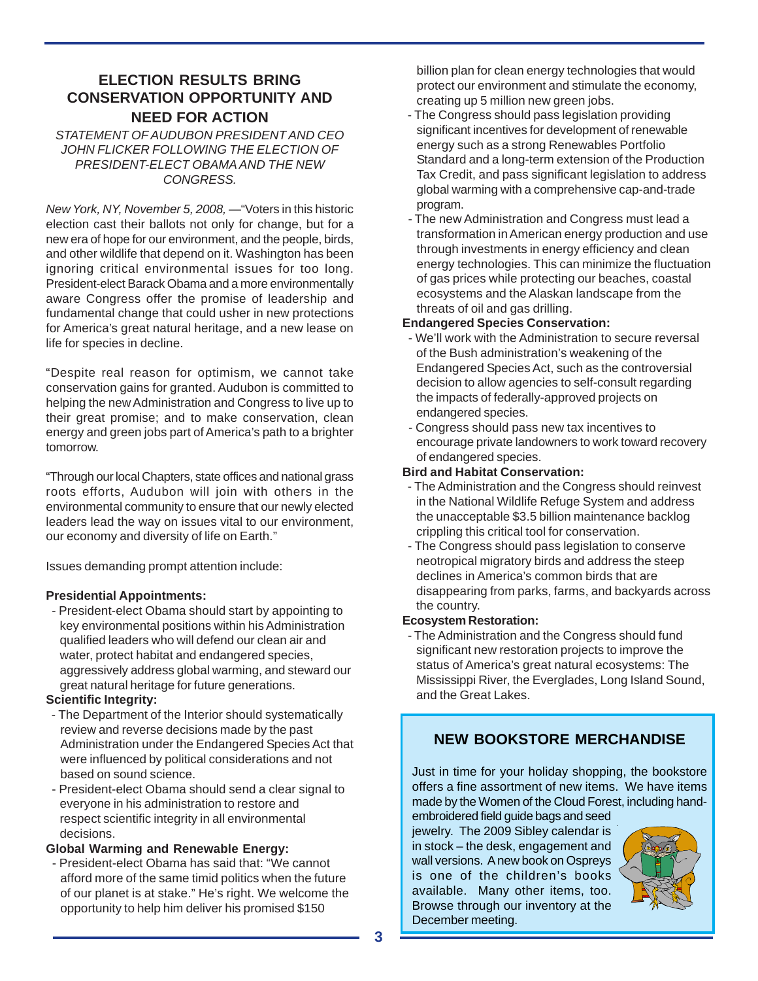# **ELECTION RESULTS BRING CONSERVATION OPPORTUNITY AND NEED FOR ACTION**

*STATEMENT OF AUDUBON PRESIDENT AND CEO JOHN FLICKER FOLLOWING THE ELECTION OF PRESIDENT-ELECT OBAMA AND THE NEW CONGRESS.*

*New York, NY, November 5, 2008,* —"Voters in this historic election cast their ballots not only for change, but for a new era of hope for our environment, and the people, birds, and other wildlife that depend on it. Washington has been ignoring critical environmental issues for too long. President-elect Barack Obama and a more environmentally aware Congress offer the promise of leadership and fundamental change that could usher in new protections for America's great natural heritage, and a new lease on life for species in decline.

"Despite real reason for optimism, we cannot take conservation gains for granted. Audubon is committed to helping the new Administration and Congress to live up to their great promise; and to make conservation, clean energy and green jobs part of America's path to a brighter tomorrow.

"Through our local Chapters, state offices and national grass roots efforts, Audubon will join with others in the environmental community to ensure that our newly elected leaders lead the way on issues vital to our environment, our economy and diversity of life on Earth."

Issues demanding prompt attention include:

## **Presidential Appointments:**

 - President-elect Obama should start by appointing to key environmental positions within his Administration qualified leaders who will defend our clean air and water, protect habitat and endangered species, aggressively address global warming, and steward our great natural heritage for future generations.

## **Scientific Integrity:**

- The Department of the Interior should systematically review and reverse decisions made by the past Administration under the Endangered Species Act that were influenced by political considerations and not based on sound science.
- President-elect Obama should send a clear signal to everyone in his administration to restore and respect scientific integrity in all environmental decisions.

## **Global Warming and Renewable Energy:**

 - President-elect Obama has said that: "We cannot afford more of the same timid politics when the future of our planet is at stake." He's right. We welcome the opportunity to help him deliver his promised \$150

billion plan for clean energy technologies that would protect our environment and stimulate the economy, creating up 5 million new green jobs.

- The Congress should pass legislation providing significant incentives for development of renewable energy such as a strong Renewables Portfolio Standard and a long-term extension of the Production Tax Credit, and pass significant legislation to address global warming with a comprehensive cap-and-trade program.
- The new Administration and Congress must lead a transformation in American energy production and use through investments in energy efficiency and clean energy technologies. This can minimize the fluctuation of gas prices while protecting our beaches, coastal ecosystems and the Alaskan landscape from the threats of oil and gas drilling.

## **Endangered Species Conservation:**

- We'll work with the Administration to secure reversal of the Bush administration's weakening of the Endangered Species Act, such as the controversial decision to allow agencies to self-consult regarding the impacts of federally-approved projects on endangered species.
- Congress should pass new tax incentives to encourage private landowners to work toward recovery of endangered species.

## **Bird and Habitat Conservation:**

- The Administration and the Congress should reinvest in the National Wildlife Refuge System and address the unacceptable \$3.5 billion maintenance backlog crippling this critical tool for conservation.
- The Congress should pass legislation to conserve neotropical migratory birds and address the steep declines in America's common birds that are disappearing from parks, farms, and backyards across the country.

## **Ecosystem Restoration:**

 - The Administration and the Congress should fund significant new restoration projects to improve the status of America's great natural ecosystems: The Mississippi River, the Everglades, Long Island Sound, and the Great Lakes.

# **NEW BOOKSTORE MERCHANDISE**

Just in time for your holiday shopping, the bookstore offers a fine assortment of new items. We have items made by the Women of the Cloud Forest, including hand-

embroidered field guide bags and seed jewelry. The 2009 Sibley calendar is in stock – the desk, engagement and wall versions. A new book on Ospreys is one of the children's books available. Many other items, too. Browse through our inventory at the December meeting.

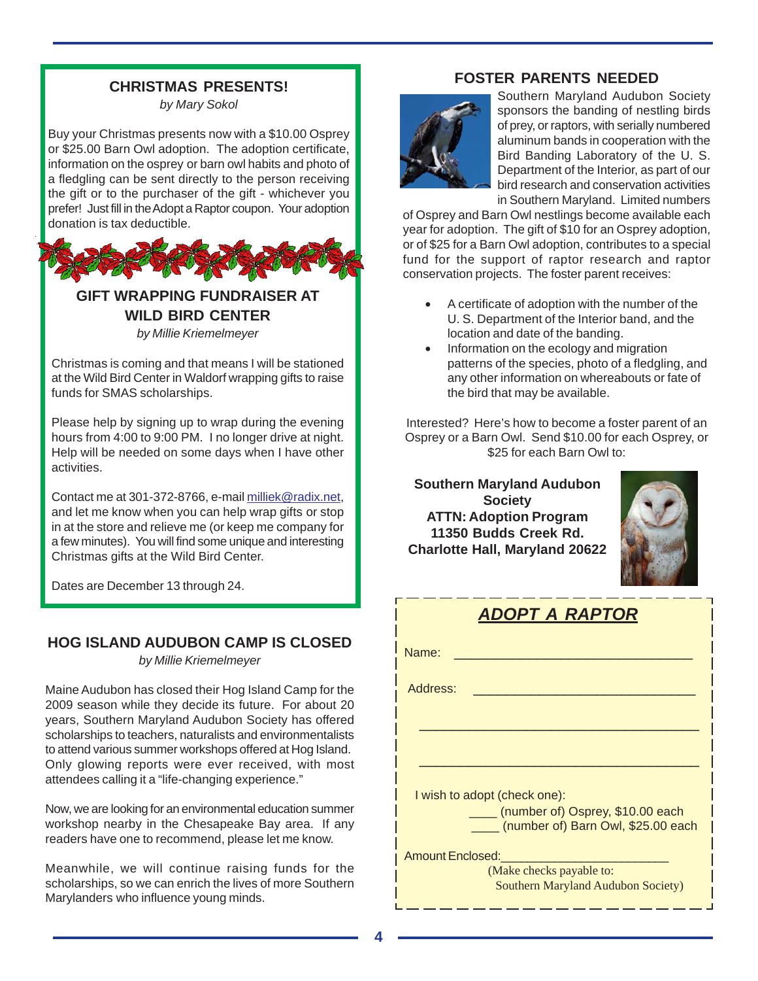# **CHRISTMAS PRESENTS!**

*by Mary Sokol*

Buy your Christmas presents now with a \$10.00 Osprey or \$25.00 Barn Owl adoption. The adoption certificate, information on the osprey or barn owl habits and photo of a fledgling can be sent directly to the person receiving the gift or to the purchaser of the gift - whichever you prefer! Just fill in the Adopt a Raptor coupon. Your adoption donation is tax deductible.



## **GIFT WRAPPING FUNDRAISER AT WILD BIRD CENTER** *by Millie Kriemelmeyer*

Christmas is coming and that means I will be stationed at the Wild Bird Center in Waldorf wrapping gifts to raise funds for SMAS scholarships.

Please help by signing up to wrap during the evening hours from 4:00 to 9:00 PM. I no longer drive at night. Help will be needed on some days when I have other activities.

Contact me at 301-372-8766, e-mail milliek@radix.net, and let me know when you can help wrap gifts or stop in at the store and relieve me (or keep me company for a few minutes). You will find some unique and interesting Christmas gifts at the Wild Bird Center.

Dates are December 13 through 24.

# **HOG ISLAND AUDUBON CAMP IS CLOSED**

*by Millie Kriemelmeyer*

Maine Audubon has closed their Hog Island Camp for the 2009 season while they decide its future. For about 20 years, Southern Maryland Audubon Society has offered scholarships to teachers, naturalists and environmentalists to attend various summer workshops offered at Hog Island. Only glowing reports were ever received, with most attendees calling it a "life-changing experience."

Now, we are looking for an environmental education summer workshop nearby in the Chesapeake Bay area. If any readers have one to recommend, please let me know.

Meanwhile, we will continue raising funds for the scholarships, so we can enrich the lives of more Southern Marylanders who influence young minds.

## **FOSTER PARENTS NEEDED**



Southern Maryland Audubon Society sponsors the banding of nestling birds of prey, or raptors, with serially numbered aluminum bands in cooperation with the Bird Banding Laboratory of the U. S. Department of the Interior, as part of our bird research and conservation activities in Southern Maryland. Limited numbers

of Osprey and Barn Owl nestlings become available each year for adoption. The gift of \$10 for an Osprey adoption, or of \$25 for a Barn Owl adoption, contributes to a special fund for the support of raptor research and raptor conservation projects. The foster parent receives:

- A certificate of adoption with the number of the U. S. Department of the Interior band, and the location and date of the banding.
- Information on the ecology and migration patterns of the species, photo of a fledgling, and any other information on whereabouts or fate of the bird that may be available.

Interested? Here's how to become a foster parent of an Osprey or a Barn Owl. Send \$10.00 for each Osprey, or \$25 for each Barn Owl to:

**Southern Maryland Audubon Society ATTN: Adoption Program 11350 Budds Creek Rd. Charlotte Hall, Maryland 20622**



| <b>ADOPT A RAPTOR</b>                                                       |  |  |  |
|-----------------------------------------------------------------------------|--|--|--|
| Name:                                                                       |  |  |  |
| Address:                                                                    |  |  |  |
|                                                                             |  |  |  |
|                                                                             |  |  |  |
| I wish to adopt (check one):                                                |  |  |  |
| ____ (number of) Osprey, \$10.00 each<br>(number of) Barn Owl, \$25.00 each |  |  |  |
| <b>Amount Enclosed:</b>                                                     |  |  |  |
| (Make checks payable to:                                                    |  |  |  |
| <b>Southern Maryland Audubon Society)</b>                                   |  |  |  |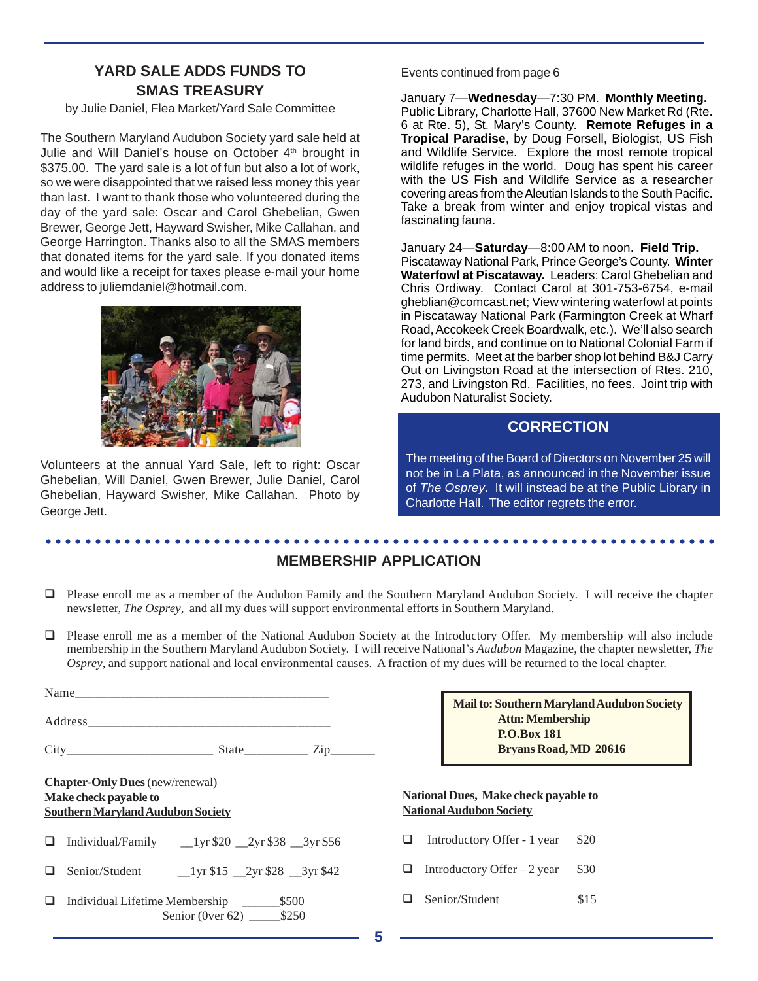# **YARD SALE ADDS FUNDS TO** Events continued from page 6 **SMAS TREASURY**

by Julie Daniel, Flea Market/Yard Sale Committee

The Southern Maryland Audubon Society yard sale held at Julie and Will Daniel's house on October 4<sup>th</sup> brought in \$375.00. The yard sale is a lot of fun but also a lot of work, so we were disappointed that we raised less money this year than last. I want to thank those who volunteered during the day of the yard sale: Oscar and Carol Ghebelian, Gwen Brewer, George Jett, Hayward Swisher, Mike Callahan, and George Harrington. Thanks also to all the SMAS members that donated items for the yard sale. If you donated items and would like a receipt for taxes please e-mail your home address to juliemdaniel@hotmail.com.



Volunteers at the annual Yard Sale, left to right: Oscar Ghebelian, Will Daniel, Gwen Brewer, Julie Daniel, Carol Ghebelian, Hayward Swisher, Mike Callahan. Photo by George Jett.

January 7—**Wednesday**—7:30 PM. **Monthly Meeting.** Public Library, Charlotte Hall, 37600 New Market Rd (Rte. 6 at Rte. 5), St. Mary's County. **Remote Refuges in a Tropical Paradise**, by Doug Forsell, Biologist, US Fish and Wildlife Service. Explore the most remote tropical wildlife refuges in the world. Doug has spent his career with the US Fish and Wildlife Service as a researcher covering areas from the Aleutian Islands to the South Pacific. Take a break from winter and enjoy tropical vistas and fascinating fauna.

January 24—**Saturday**—8:00 AM to noon. **Field Trip.** Piscataway National Park, Prince George's County. **Winter Waterfowl at Piscataway.** Leaders: Carol Ghebelian and Chris Ordiway. Contact Carol at 301-753-6754, e-mail gheblian@comcast.net; View wintering waterfowl at points in Piscataway National Park (Farmington Creek at Wharf Road, Accokeek Creek Boardwalk, etc.). We'll also search for land birds, and continue on to National Colonial Farm if time permits. Meet at the barber shop lot behind B&J Carry Out on Livingston Road at the intersection of Rtes. 210, 273, and Livingston Rd. Facilities, no fees. Joint trip with Audubon Naturalist Society.

# **CORRECTION**

The meeting of the Board of Directors on November 25 will not be in La Plata, as announced in the November issue of *The Osprey*. It will instead be at the Public Library in Charlotte Hall. The editor regrets the error.

#### ○○○○○○○○○○○○○○○○○○○○○○○○○○○○○○○○○○○○○○○○○○○○ ○○○○○○○○○○○○○○○○○○○○○○○○ **MEMBERSHIP APPLICATION**

- Please enroll me as a member of the Audubon Family and the Southern Maryland Audubon Society. I will receive the chapter newsletter, *The Osprey*, and all my dues will support environmental efforts in Southern Maryland.
- Please enroll me as a member of the National Audubon Society at the Introductory Offer. My membership will also include membership in the Southern Maryland Audubon Society. I will receive National's *Audubon* Magazine, the chapter newsletter, *The Osprey*, and support national and local environmental causes. A fraction of my dues will be returned to the local chapter.

| $City$ $City$ $State$ $Zip$ $Zip$                                                                           |                                    |
|-------------------------------------------------------------------------------------------------------------|------------------------------------|
| <b>Chapter-Only Dues</b> (new/renewal)<br>Make check payable to<br><b>Southern Maryland Audubon Society</b> | <b>National</b><br><b>National</b> |
|                                                                                                             | Intro                              |
| Senior/Student 1yr \$15 2yr \$28 3yr \$42                                                                   | Intro                              |
| Senior (0ver 62) ________ \$250                                                                             | Seni                               |

| <b>Mail to: Southern Maryland Audubon Society</b> |  |
|---------------------------------------------------|--|
| <b>Attn: Membership</b>                           |  |
| <b>P.O.Box 181</b>                                |  |
| Bryans Road, MD 20616                             |  |

#### **Dues, Make check payable to National Audubon Society**

- oductory Offer 1 year \$20
- Inductory Offer 2 year  $$30$
- or/Student \$15